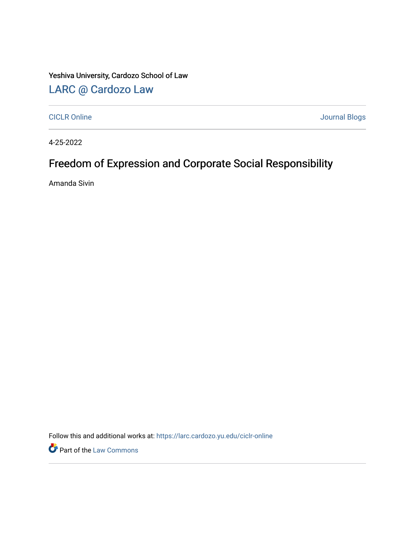Yeshiva University, Cardozo School of Law

## [LARC @ Cardozo Law](https://larc.cardozo.yu.edu/)

[CICLR Online](https://larc.cardozo.yu.edu/ciclr-online) [Journal Blogs](https://larc.cardozo.yu.edu/journal-blogs) 

4-25-2022

## Freedom of Expression and Corporate Social Responsibility

Amanda Sivin

Follow this and additional works at: [https://larc.cardozo.yu.edu/ciclr-online](https://larc.cardozo.yu.edu/ciclr-online?utm_source=larc.cardozo.yu.edu%2Fciclr-online%2F46&utm_medium=PDF&utm_campaign=PDFCoverPages) 

**Part of the [Law Commons](http://network.bepress.com/hgg/discipline/578?utm_source=larc.cardozo.yu.edu%2Fciclr-online%2F46&utm_medium=PDF&utm_campaign=PDFCoverPages)**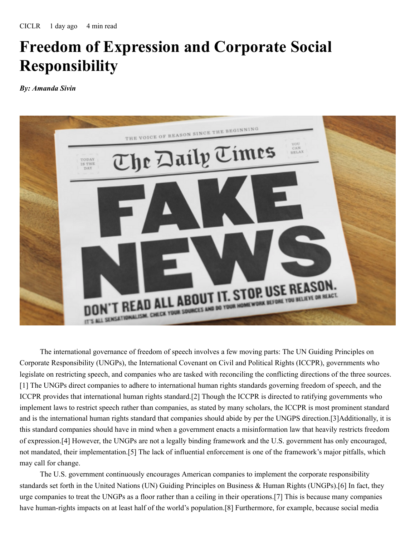## **Freedom of Expression and Corporate Social Responsibility**

*By: Amanda Sivin*



The international governance of freedom of speech involves a few moving parts: The UN Guiding Principles on Corporate Responsibility (UNGPs), the International Covenant on Civil and Political Rights (ICCPR), governments who legislate on restricting speech, and companies who are tasked with reconciling the conflicting directions of the three sources. [1] The UNGPs direct companies to adhere to international human rights standards governing freedom of speech, and the ICCPR provides that international human rights standard.[2] Though the ICCPR is directed to ratifying governments who implement laws to restrict speech rather than companies, as stated by many scholars, the ICCPR is most prominent standard and is the international human rights standard that companies should abide by per the UNGPS direction.[3]Additionally, it is this standard companies should have in mind when a government enacts a misinformation law that heavily restricts freedom of expression.[4] However, the UNGPs are not a legally binding framework and the U.S. government has only encouraged, not mandated, their implementation.[5] The lack of influential enforcement is one of the framework's major pitfalls, which may call for change.

The U.S. government continuously encourages American companies to implement the corporate responsibility standards set forth in the United Nations (UN) Guiding Principles on Business & Human Rights (UNGPs).[6] In fact, they urge companies to treat the UNGPs as a floor rather than a ceiling in their operations.[7] This is because many companies have human-rights impacts on at least half of the world's population.[8] Furthermore, for example, because social media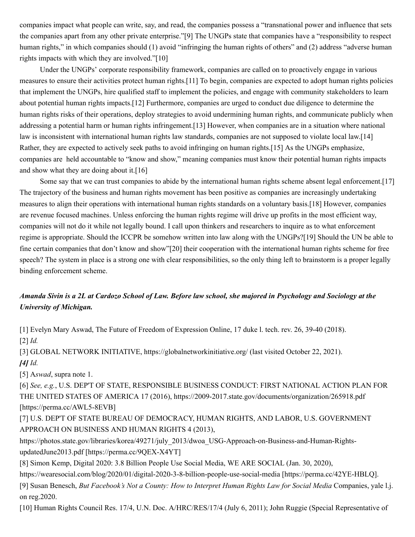companies impact what people can write, say, and read, the companies possess a "transnational power and influence that sets the companies apart from any other private enterprise."[9] The UNGPs state that companies have a "responsibility to respect human rights," in which companies should (1) avoid "infringing the human rights of others" and (2) address "adverse human rights impacts with which they are involved."[10]

Under the UNGPs' corporate responsibility framework, companies are called on to proactively engage in various measures to ensure their activities protect human rights.[11] To begin, companies are expected to adopt human rights policies that implement the UNGPs, hire qualified staff to implement the policies, and engage with community stakeholders to learn about potential human rights impacts.[12] Furthermore, companies are urged to conduct due diligence to determine the human rights risks of their operations, deploy strategies to avoid undermining human rights, and communicate publicly when addressing a potential harm or human rights infringement.[13] However, when companies are in a situation where national law is inconsistent with international human rights law standards, companies are not supposed to violate local law.[14] Rather, they are expected to actively seek paths to avoid infringing on human rights.[15] As the UNGPs emphasize, companies are held accountable to "know and show," meaning companies must know their potential human rights impacts and show what they are doing about it.[16]

Some say that we can trust companies to abide by the international human rights scheme absent legal enforcement.[17] The trajectory of the business and human rights movement has been positive as companies are increasingly undertaking measures to align their operations with international human rights standards on a voluntary basis.[18] However, companies are revenue focused machines. Unless enforcing the human rights regime will drive up profits in the most efficient way, companies will not do it while not legally bound. I call upon thinkers and researchers to inquire as to what enforcement regime is appropriate. Should the ICCPR be somehow written into law along with the UNGPs?[19] Should the UN be able to fine certain companies that don't know and show"[20] their cooperation with the international human rights scheme for free speech? The system in place is a strong one with clear responsibilities, so the only thing left to brainstorm is a proper legally binding enforcement scheme.

## Amanda Sivin is a 2L at Cardozo School of Law. Before law school, she majored in Psychology and Sociology at the *University of Michigan.*

[1] Evelyn Mary Aswad, The Future of Freedom of Expression Online, 17 duke l. tech. rev. 26, 39-40 (2018). [2] *Id.*

[3] GLOBAL NETWORK INITIATIVE, https://globalnetworkinitiative.org/ (last visited October 22, 2021). *[4] Id.*

[5] A*swad*, supra note 1.

[6] *See, e.g.*, U.S. DEP'T OF STATE, RESPONSIBLE BUSINESS CONDUCT: FIRST NATIONAL ACTION PLAN FOR THE UNITED STATES OF AMERICA 17 (2016), https://2009-2017.state.gov/documents/organization/265918.pdf [https://perma.cc/AWL5-8EVB]

[7] U.S. DEP'T OF STATE BUREAU OF DEMOCRACY, HUMAN RIGHTS, AND LABOR, U.S. GOVERNMENT APPROACH ON BUSINESS AND HUMAN RIGHTS 4 (2013),

https://photos.state.gov/libraries/korea/49271/july\_2013/dwoa\_USG-Approach-on-Business-and-Human-RightsupdatedJune2013.pdf [https://perma.cc/9QEX-X4YT]

[8] Simon Kemp, Digital 2020: 3.8 Billion People Use Social Media, WE ARE SOCIAL (Jan. 30, 2020),

https://wearesocial.com/blog/2020/01/digital-2020-3-8-billion-people-use-social-media [https://perma.cc/42YE-HBLQ].

[9] Susan Benesch, *But Facebook's Not a County: How to Interpret Human Rights Law for Social Media* Companies, yale l.j. on reg.2020.

[10] Human Rights Council Res. 17/4, U.N. Doc. A/HRC/RES/17/4 (July 6, 2011); John Ruggie (Special Representative of